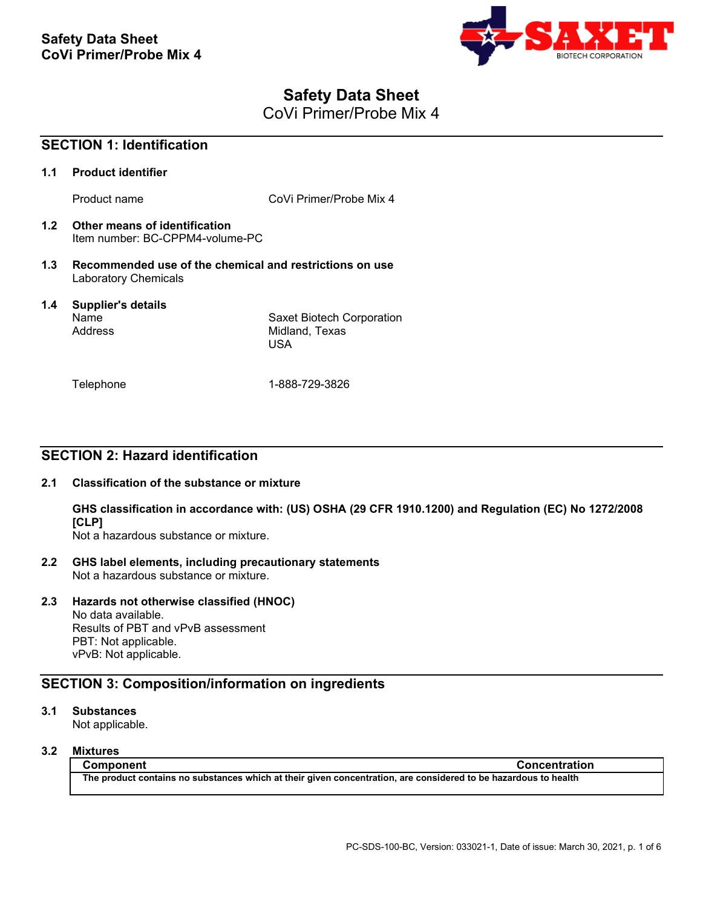

# **Safety Data Sheet**

CoVi Primer/Probe Mix 4

| <b>SECTION 1: Identification</b> |                                                                                 |                                                           |
|----------------------------------|---------------------------------------------------------------------------------|-----------------------------------------------------------|
| 1.1                              | <b>Product identifier</b>                                                       |                                                           |
|                                  | Product name                                                                    | CoVi Primer/Probe Mix 4                                   |
| 1.2                              | Other means of identification<br>Item number: BC-CPPM4-volume-PC                |                                                           |
| 1.3                              | Recommended use of the chemical and restrictions on use<br>Laboratory Chemicals |                                                           |
| 1.4                              | <b>Supplier's details</b><br>Name<br>Address                                    | Saxet Biotech Corporation<br>Midland, Texas<br><b>USA</b> |
|                                  | Telephone                                                                       | 1-888-729-3826                                            |

## **SECTION 2: Hazard identification**

## **2.1 Classification of the substance or mixture**

**GHS classification in accordance with: (US) OSHA (29 CFR 1910.1200) and Regulation (EC) No 1272/2008 [CLP]**

Not a hazardous substance or mixture.

**2.2 GHS label elements, including precautionary statements** Not a hazardous substance or mixture.

## **2.3 Hazards not otherwise classified (HNOC)**

No data available. Results of PBT and vPvB assessment PBT: Not applicable. vPvB: Not applicable.

## **SECTION 3: Composition/information on ingredients**

## **3.1 Substances**

Not applicable.

## **3.2 Mixtures**

**Component Concentration The product contains no substances which at their given concentration, are considered to be hazardous to health**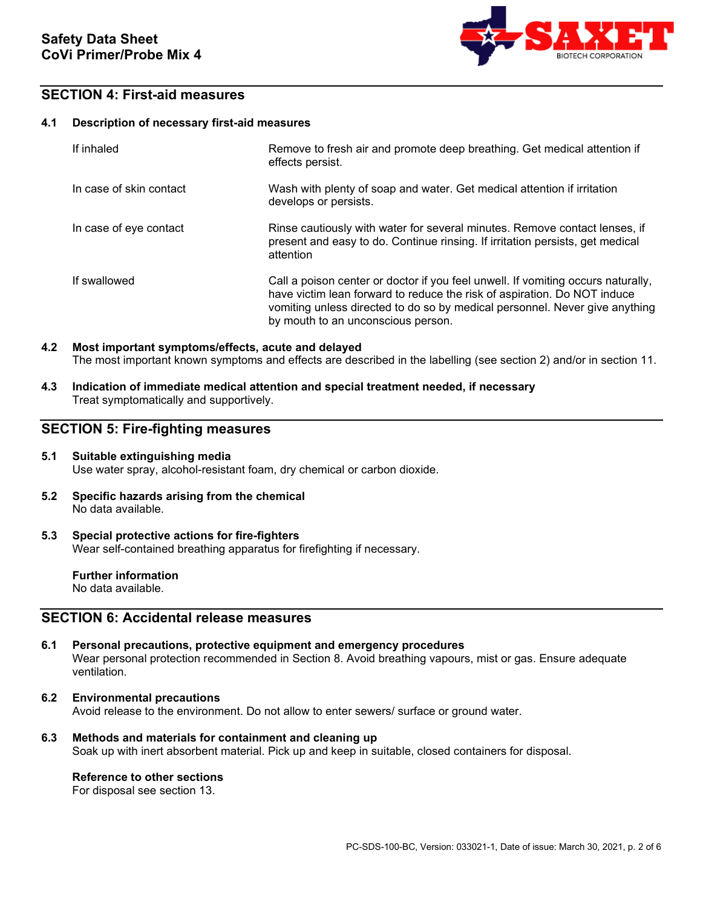

## **SECTION 4: First-aid measures**

### **4.1 Description of necessary first-aid measures**

| If inhaled              | Remove to fresh air and promote deep breathing. Get medical attention if<br>effects persist.                                                                                                                                                                                      |
|-------------------------|-----------------------------------------------------------------------------------------------------------------------------------------------------------------------------------------------------------------------------------------------------------------------------------|
| In case of skin contact | Wash with plenty of soap and water. Get medical attention if irritation<br>develops or persists.                                                                                                                                                                                  |
| In case of eye contact  | Rinse cautiously with water for several minutes. Remove contact lenses, if<br>present and easy to do. Continue rinsing. If irritation persists, get medical<br>attention                                                                                                          |
| If swallowed            | Call a poison center or doctor if you feel unwell. If vomiting occurs naturally,<br>have victim lean forward to reduce the risk of aspiration. Do NOT induce<br>vomiting unless directed to do so by medical personnel. Never give anything<br>by mouth to an unconscious person. |

## **4.2 Most important symptoms/effects, acute and delayed** The most important known symptoms and effects are described in the labelling (see section 2) and/or in section 11.

**4.3 Indication of immediate medical attention and special treatment needed, if necessary**  Treat symptomatically and supportively.

## **SECTION 5: Fire-fighting measures**

### **5.1 Suitable extinguishing media** Use water spray, alcohol-resistant foam, dry chemical or carbon dioxide.

**5.2 Specific hazards arising from the chemical** No data available.

### **5.3 Special protective actions for fire-fighters** Wear self-contained breathing apparatus for firefighting if necessary.

**Further information** No data available.

## **SECTION 6: Accidental release measures**

- **6.1 Personal precautions, protective equipment and emergency procedures** Wear personal protection recommended in Section 8. Avoid breathing vapours, mist or gas. Ensure adequate ventilation.
- **6.2 Environmental precautions** Avoid release to the environment. Do not allow to enter sewers/ surface or ground water.
- **6.3 Methods and materials for containment and cleaning up** Soak up with inert absorbent material. Pick up and keep in suitable, closed containers for disposal.

## **Reference to other sections**

For disposal see section 13.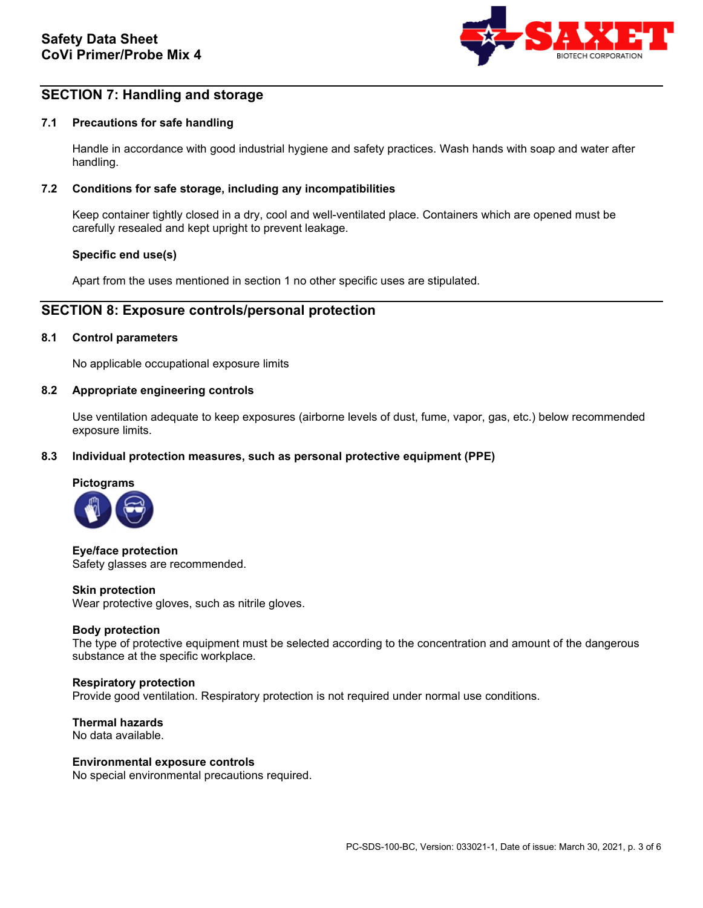

## **SECTION 7: Handling and storage**

## **7.1 Precautions for safe handling**

Handle in accordance with good industrial hygiene and safety practices. Wash hands with soap and water after handling.

### **7.2 Conditions for safe storage, including any incompatibilities**

Keep container tightly closed in a dry, cool and well-ventilated place. Containers which are opened must be carefully resealed and kept upright to prevent leakage.

### **Specific end use(s)**

Apart from the uses mentioned in section 1 no other specific uses are stipulated.

## **SECTION 8: Exposure controls/personal protection**

### **8.1 Control parameters**

No applicable occupational exposure limits

#### **8.2 Appropriate engineering controls**

Use ventilation adequate to keep exposures (airborne levels of dust, fume, vapor, gas, etc.) below recommended exposure limits.

### **8.3 Individual protection measures, such as personal protective equipment (PPE)**



**Eye/face protection** Safety glasses are recommended.

#### **Skin protection**

Wear protective gloves, such as nitrile gloves.

#### **Body protection**

The type of protective equipment must be selected according to the concentration and amount of the dangerous substance at the specific workplace.

#### **Respiratory protection**

Provide good ventilation. Respiratory protection is not required under normal use conditions.

**Thermal hazards** No data available.

#### **Environmental exposure controls**

No special environmental precautions required.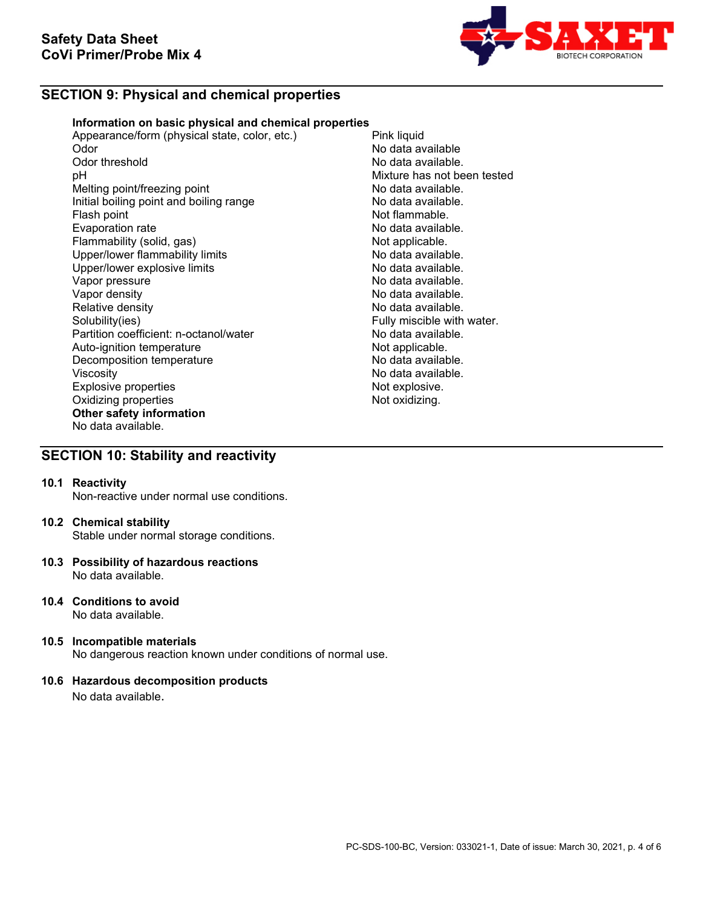

## **SECTION 9: Physical and chemical properties**

### **Information on basic physical and chemical properties**

Appearance/form (physical state, color, etc.) Pink liquid<br>Odor No data a Odor No data available Odor threshold **No data available.**<br>
DH No data available.<br>
Nixture has not be Melting point/freezing point<br>
Initial boiling point and boiling range<br>
No data available. Initial boiling point and boiling range<br>Flash point Evaporation rate<br>
Flammability (solid, gas) Not applicable. Flammability (solid, gas) Not applicable.<br>
Upper/lower flammability limits No data available. Upper/lower flammability limits and the second of the No data available.<br>
Upper/lower explosive limits and the No data available. Upper/lower explosive limits<br>Vapor pressure Vapor pressure<br>Vapor density de la communitative de la communitative de la construction de la communitative de la communitati<br>No data available. Vapor density<br>
Relative density<br>
Relative density<br>
No data available. Relative density<br>
Solubility(ies)<br>
Solubility(ies)<br>
Solubility(ies) Partition coefficient: n-octanol/water **No data available.**<br>Auto-ignition temperature **Note and Auto-ignition** Auto-ignition temperature and the Not applicable.<br>
Decomposition temperature Not applicable. Decomposition temperature Viscosity<br>
Explosive properties<br>
Explosive explosive explosive explosive explosive explosive explosive explosive explosive explosive explosive explosive explosive explosive explosive explosive explosive explosive explosive Explosive properties and the explosive properties of the explosive.<br>
Oxidizing properties and the explosive of the explosive. Oxidizing properties **Other safety information** No data available.

Mixture has not been tested<br>No data available. Not flammable.<br>No data available. Fully miscible with water.

## **SECTION 10: Stability and reactivity**

### **10.1 Reactivity**

Non-reactive under normal use conditions.

### **10.2 Chemical stability**

Stable under normal storage conditions.

- **10.3 Possibility of hazardous reactions** No data available.
- **10.4 Conditions to avoid** No data available.
- **10.5 Incompatible materials** No dangerous reaction known under conditions of normal use.

## **10.6 Hazardous decomposition products**

No data available.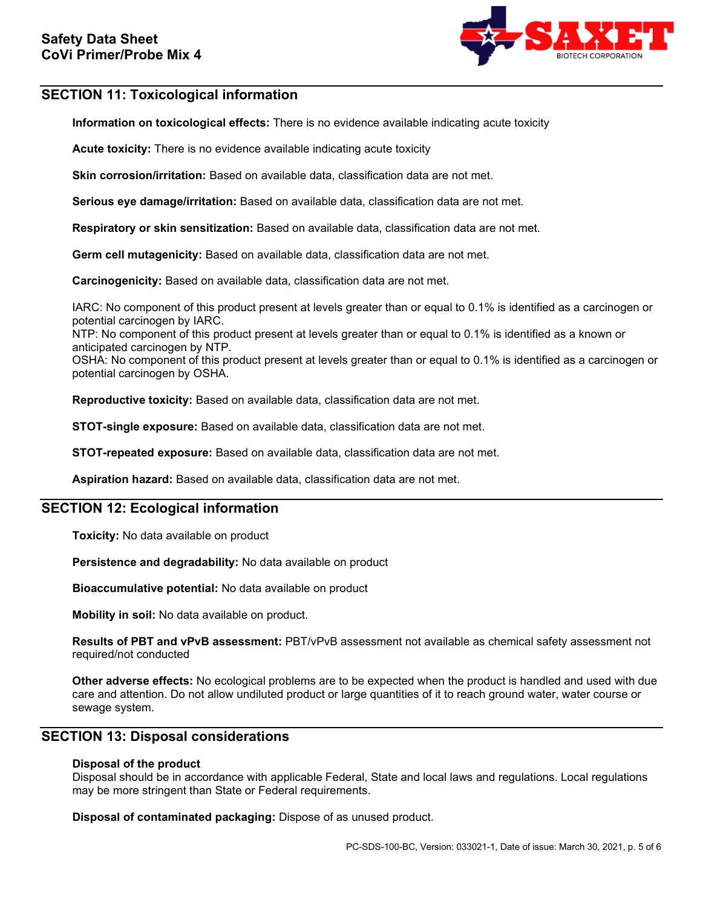

## **SECTION 11: Toxicological information**

**Information on toxicological effects:** There is no evidence available indicating acute toxicity

**Acute toxicity:** There is no evidence available indicating acute toxicity

**Skin corrosion/irritation:** Based on available data, classification data are not met.

**Serious eye damage/irritation:** Based on available data, classification data are not met.

**Respiratory or skin sensitization:** Based on available data, classification data are not met.

**Germ cell mutagenicity:** Based on available data, classification data are not met.

**Carcinogenicity:** Based on available data, classification data are not met.

IARC: No component of this product present at levels greater than or equal to 0.1% is identified as a carcinogen or potential carcinogen by IARC.

NTP: No component of this product present at levels greater than or equal to 0.1% is identified as a known or anticipated carcinogen by NTP.

OSHA: No component of this product present at levels greater than or equal to 0.1% is identified as a carcinogen or potential carcinogen by OSHA.

**Reproductive toxicity:** Based on available data, classification data are not met.

**STOT-single exposure:** Based on available data, classification data are not met.

**STOT-repeated exposure:** Based on available data, classification data are not met.

**Aspiration hazard:** Based on available data, classification data are not met.

## **SECTION 12: Ecological information**

**Toxicity:** No data available on product

**Persistence and degradability:** No data available on product

**Bioaccumulative potential:** No data available on product

**Mobility in soil:** No data available on product.

**Results of PBT and vPvB assessment:** PBT/vPvB assessment not available as chemical safety assessment not required/not conducted

**Other adverse effects:** No ecological problems are to be expected when the product is handled and used with due care and attention. Do not allow undiluted product or large quantities of it to reach ground water, water course or sewage system.

## **SECTION 13: Disposal considerations**

## **Disposal of the product**

Disposal should be in accordance with applicable Federal, State and local laws and regulations. Local regulations may be more stringent than State or Federal requirements.

**Disposal of contaminated packaging:** Dispose of as unused product.